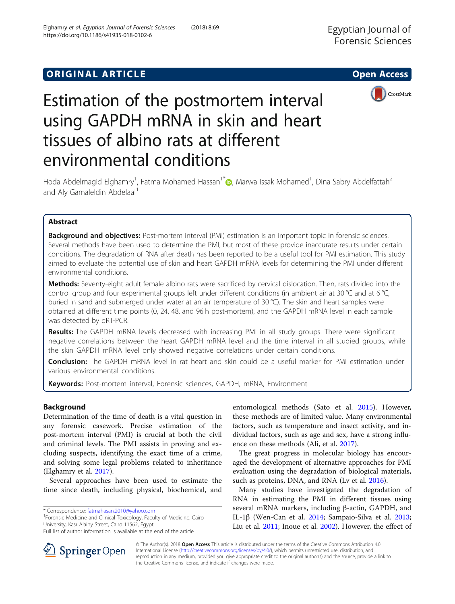# **ORIGINAL ARTICLE CONSUMING A LIGACION** CONSUMING A LIGACION CONSUMING A LIGACION CONSUMING A LIGACION CONSUMING A LIGACION CONSUMING A LIGACION CONSUMING A LIGACION CONSUMING A LIGACION CONSUMING A LIGACION CONSUMING A



# Estimation of the postmortem interval using GAPDH mRNA in skin and heart tissues of albino rats at different environmental conditions

Hoda Abdelmagid Elghamry<sup>1</sup>, Fatma Mohamed Hassan<sup>1[\\*](http://orcid.org/0000-0003-2509-6697)</sup>@, Marwa Issak Mohamed<sup>1</sup>, Dina Sabry Abdelfattah<sup>2</sup> and Aly Gamaleldin Abdelaal<sup>1</sup>

# Abstract

**Background and objectives:** Post-mortem interval (PMI) estimation is an important topic in forensic sciences. Several methods have been used to determine the PMI, but most of these provide inaccurate results under certain conditions. The degradation of RNA after death has been reported to be a useful tool for PMI estimation. This study aimed to evaluate the potential use of skin and heart GAPDH mRNA levels for determining the PMI under different environmental conditions.

Methods: Seventy-eight adult female albino rats were sacrificed by cervical dislocation. Then, rats divided into the control group and four experimental groups left under different conditions (in ambient air at 30 °C and at 6 °C, buried in sand and submerged under water at an air temperature of 30 °C). The skin and heart samples were obtained at different time points (0, 24, 48, and 96 h post-mortem), and the GAPDH mRNA level in each sample was detected by qRT-PCR.

Results: The GAPDH mRNA levels decreased with increasing PMI in all study groups. There were significant negative correlations between the heart GAPDH mRNA level and the time interval in all studied groups, while the skin GAPDH mRNA level only showed negative correlations under certain conditions.

Conclusion: The GAPDH mRNA level in rat heart and skin could be a useful marker for PMI estimation under various environmental conditions.

Keywords: Post-mortem interval, Forensic sciences, GAPDH, mRNA, Environment

# Background

Determination of the time of death is a vital question in any forensic casework. Precise estimation of the post-mortem interval (PMI) is crucial at both the civil and criminal levels. The PMI assists in proving and excluding suspects, identifying the exact time of a crime, and solving some legal problems related to inheritance (Elghamry et al. [2017\)](#page-5-0).

Several approaches have been used to estimate the time since death, including physical, biochemical, and

\* Correspondence: [fatmahasan.2010@yahoo.com](mailto:fatmahasan.2010@yahoo.com) <sup>1</sup>

<sup>1</sup> Forensic Medicine and Clinical Toxicology, Faculty of Medicine, Cairo University, Kasr Alainy Street, Cairo 11562, Egypt

entomological methods (Sato et al. [2015](#page-5-0)). However, these methods are of limited value. Many environmental factors, such as temperature and insect activity, and individual factors, such as age and sex, have a strong influence on these methods (Ali, et al. [2017](#page-5-0)).

The great progress in molecular biology has encouraged the development of alternative approaches for PMI evaluation using the degradation of biological materials, such as proteins, DNA, and RNA (Lv et al. [2016\)](#page-5-0).

Many studies have investigated the degradation of RNA in estimating the PMI in different tissues using several mRNA markers, including β-actin, GAPDH, and IL-1β (Wen-Can et al. [2014;](#page-5-0) Sampaio-Silva et al. [2013](#page-5-0); Liu et al. [2011](#page-5-0); Inoue et al. [2002](#page-5-0)). However, the effect of



© The Author(s). 2018 Open Access This article is distributed under the terms of the Creative Commons Attribution 4.0 International License ([http://creativecommons.org/licenses/by/4.0/\)](http://creativecommons.org/licenses/by/4.0/), which permits unrestricted use, distribution, and reproduction in any medium, provided you give appropriate credit to the original author(s) and the source, provide a link to the Creative Commons license, and indicate if changes were made.

Full list of author information is available at the end of the article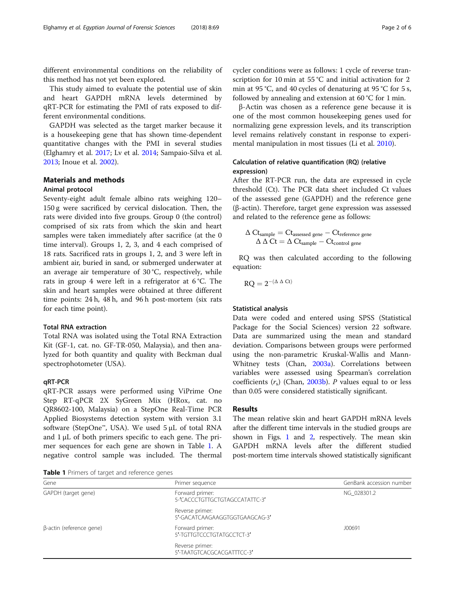different environmental conditions on the reliability of this method has not yet been explored.

This study aimed to evaluate the potential use of skin and heart GAPDH mRNA levels determined by qRT-PCR for estimating the PMI of rats exposed to different environmental conditions.

GAPDH was selected as the target marker because it is a housekeeping gene that has shown time-dependent quantitative changes with the PMI in several studies (Elghamry et al. [2017](#page-5-0); Lv et al. [2014](#page-5-0); Sampaio-Silva et al. [2013](#page-5-0); Inoue et al. [2002](#page-5-0)).

# Materials and methods

# Animal protocol

Seventy-eight adult female albino rats weighing 120– 150 g were sacrificed by cervical dislocation. Then, the rats were divided into five groups. Group 0 (the control) comprised of six rats from which the skin and heart samples were taken immediately after sacrifice (at the 0 time interval). Groups 1, 2, 3, and 4 each comprised of 18 rats. Sacrificed rats in groups 1, 2, and 3 were left in ambient air, buried in sand, or submerged underwater at an average air temperature of 30 °C, respectively, while rats in group 4 were left in a refrigerator at 6 °C. The skin and heart samples were obtained at three different time points: 24 h, 48 h, and 96 h post-mortem (six rats for each time point).

## Total RNA extraction

Total RNA was isolated using the Total RNA Extraction Kit (GF-1, cat. no. GF-TR-050, Malaysia), and then analyzed for both quantity and quality with Beckman dual spectrophotometer (USA).

### qRT-PCR

qRT-PCR assays were performed using ViPrime One Step RT-qPCR 2X SyGreen Mix (HRox, cat. no QR8602-100, Malaysia) on a StepOne Real-Time PCR Applied Biosystems detection system with version 3.1 software (StepOne™, USA). We used 5 μL of total RNA and 1 μL of both primers specific to each gene. The primer sequences for each gene are shown in Table 1. A negative control sample was included. The thermal

Table 1 Primers of target and reference genes

cycler conditions were as follows: 1 cycle of reverse transcription for 10 min at 55 °C and initial activation for 2 min at 95 °C, and 40 cycles of denaturing at 95 °C for 5 s, followed by annealing and extension at 60 °C for 1 min.

β-Actin was chosen as a reference gene because it is one of the most common housekeeping genes used for normalizing gene expression levels, and its transcription level remains relatively constant in response to experimental manipulation in most tissues (Li et al. [2010](#page-5-0)).

# Calculation of relative quantification (RQ) (relative expression)

After the RT-PCR run, the data are expressed in cycle threshold (Ct). The PCR data sheet included Ct values of the assessed gene (GAPDH) and the reference gene (β-actin). Therefore, target gene expression was assessed and related to the reference gene as follows:

$$
\Delta\ Ct_{sample}=Ct_{assessed\ gene}-Ct_{reference\ gene}\\ \Delta\ \Delta\ Ct=\Delta\ Ct_{sample}-Ct_{control\ gene}
$$

RQ was then calculated according to the following equation:

$$
RQ = 2^{-(\Delta \Delta Ct)}
$$

#### Statistical analysis

Data were coded and entered using SPSS (Statistical Package for the Social Sciences) version 22 software. Data are summarized using the mean and standard deviation. Comparisons between groups were performed using the non-parametric Kruskal-Wallis and Mann-Whitney tests (Chan, [2003a](#page-5-0)). Correlations between variables were assessed using Spearman's correlation coefficients  $(r_s)$  (Chan, [2003b\)](#page-5-0). P values equal to or less than 0.05 were considered statistically significant.

# Results

The mean relative skin and heart GAPDH mRNA levels after the different time intervals in the studied groups are shown in Figs. [1](#page-2-0) and [2](#page-2-0), respectively. The mean skin GAPDH mRNA levels after the different studied post-mortem time intervals showed statistically significant

Gene **Gene** Gene Primer sequence **Primer sequence** Gene Bank accession number GAPDH (target gene) entitled a set of the Forward primer: 5-′CACCCTGTTGCTGTAGCCATATTC-3′ NG\_028301.2 Reverse primer: 5′-GACATCAAGAAGGTGGTGAAGCAG-3′ β-actin (reference gene) Forward primer: 5′-TGTTGTCCCTGTATGCCTCT-3′ J00691 Reverse primer: 5′-TAATGTCACGCACGATTTCC-3′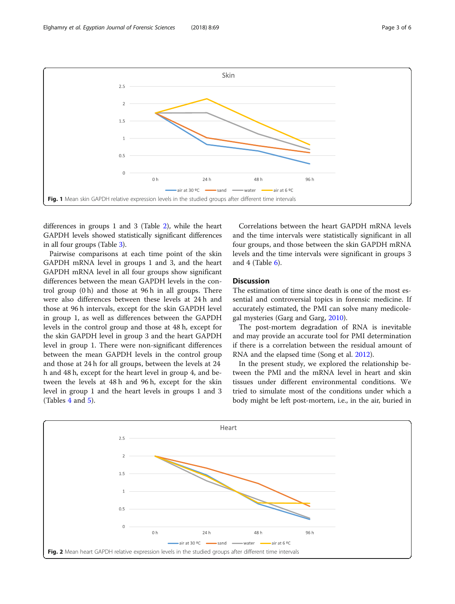<span id="page-2-0"></span>

differences in groups 1 and 3 (Table [2](#page-3-0)), while the heart GAPDH levels showed statistically significant differences in all four groups (Table [3](#page-3-0)).

Pairwise comparisons at each time point of the skin GAPDH mRNA level in groups 1 and 3, and the heart GAPDH mRNA level in all four groups show significant differences between the mean GAPDH levels in the control group (0 h) and those at 96 h in all groups. There were also differences between these levels at 24 h and those at 96 h intervals, except for the skin GAPDH level in group 1, as well as differences between the GAPDH levels in the control group and those at 48 h, except for the skin GAPDH level in group 3 and the heart GAPDH level in group 1. There were non-significant differences between the mean GAPDH levels in the control group and those at 24 h for all groups, between the levels at 24 h and 48 h, except for the heart level in group 4, and between the levels at 48 h and 96 h, except for the skin level in group 1 and the heart levels in groups 1 and 3 (Tables [4](#page-4-0) and [5\)](#page-4-0).

Correlations between the heart GAPDH mRNA levels and the time intervals were statistically significant in all four groups, and those between the skin GAPDH mRNA levels and the time intervals were significant in groups 3 and 4 (Table [6\)](#page-4-0).

# Discussion

The estimation of time since death is one of the most essential and controversial topics in forensic medicine. If accurately estimated, the PMI can solve many medicolegal mysteries (Garg and Garg, [2010\)](#page-5-0).

The post-mortem degradation of RNA is inevitable and may provide an accurate tool for PMI determination if there is a correlation between the residual amount of RNA and the elapsed time (Song et al. [2012\)](#page-5-0).

In the present study, we explored the relationship between the PMI and the mRNA level in heart and skin tissues under different environmental conditions. We tried to simulate most of the conditions under which a body might be left post-mortem, i.e., in the air, buried in

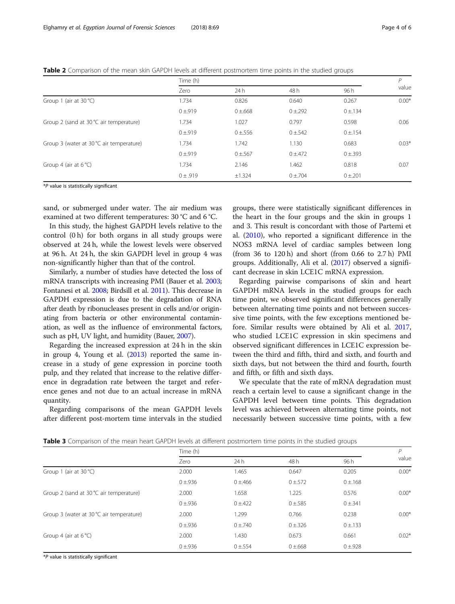<span id="page-3-0"></span>

| Table 2 Comparison of the mean skin GAPDH levels at different postmortem time points in the studied groups |  |  |
|------------------------------------------------------------------------------------------------------------|--|--|
|------------------------------------------------------------------------------------------------------------|--|--|

|                                          | Time (h)  |             |               | P           |         |
|------------------------------------------|-----------|-------------|---------------|-------------|---------|
|                                          | Zero      | 24h         | 48 h          | 96 h        | value   |
| Group 1 (air at $30^{\circ}$ C)          | 1.734     | 0.826       | 0.640         | 0.267       | $0.00*$ |
|                                          | $0 + 919$ | 0 ± 668     | $0 \pm 0.292$ | $0 \pm 134$ |         |
| Group 2 (sand at 30 °C air temperature)  | 1.734     | 1.027       | 0.797         | 0.598       | 0.06    |
|                                          | $0 + 919$ | $0 + 556$   | $0 \pm 542$   | $0 \pm 154$ |         |
| Group 3 (water at 30 °C air temperature) | 1.734     | 1.742       | 1.130         | 0.683       | $0.03*$ |
|                                          | $0 + 919$ | $0 \pm 567$ | $0 \pm 472$   | $0 + 393$   |         |
| Group 4 (air at $6^{\circ}$ C)           | 1.734     | 2.146       | 1.462         | 0.818       | 0.07    |
|                                          | 0 ± .919  | ±1.324      | $0 \pm 704$   | $0 \pm 201$ |         |

\*P value is statistically significant

sand, or submerged under water. The air medium was examined at two different temperatures: 30 °C and 6 °C.

In this study, the highest GAPDH levels relative to the control (0 h) for both organs in all study groups were observed at 24 h, while the lowest levels were observed at 96 h. At 24 h, the skin GAPDH level in group 4 was non-significantly higher than that of the control.

Similarly, a number of studies have detected the loss of mRNA transcripts with increasing PMI (Bauer et al. [2003](#page-5-0); Fontanesi et al. [2008;](#page-5-0) Birdsill et al. [2011\)](#page-5-0). This decrease in GAPDH expression is due to the degradation of RNA after death by ribonucleases present in cells and/or originating from bacteria or other environmental contamination, as well as the influence of environmental factors, such as pH, UV light, and humidity (Bauer, [2007\)](#page-5-0).

Regarding the increased expression at 24 h in the skin in group 4, Young et al. [\(2013](#page-5-0)) reported the same increase in a study of gene expression in porcine tooth pulp, and they related that increase to the relative difference in degradation rate between the target and reference genes and not due to an actual increase in mRNA quantity.

Regarding comparisons of the mean GAPDH levels after different post-mortem time intervals in the studied groups, there were statistically significant differences in the heart in the four groups and the skin in groups 1 and 3. This result is concordant with those of Partemi et al. ([2010](#page-5-0)), who reported a significant difference in the NOS3 mRNA level of cardiac samples between long (from 36 to 120 h) and short (from 0.66 to 2.7 h) PMI groups. Additionally, Ali et al. [\(2017\)](#page-5-0) observed a significant decrease in skin LCE1C mRNA expression.

Regarding pairwise comparisons of skin and heart GAPDH mRNA levels in the studied groups for each time point, we observed significant differences generally between alternating time points and not between successive time points, with the few exceptions mentioned before. Similar results were obtained by Ali et al. [2017](#page-5-0), who studied LCE1C expression in skin specimens and observed significant differences in LCE1C expression between the third and fifth, third and sixth, and fourth and sixth days, but not between the third and fourth, fourth and fifth, or fifth and sixth days.

We speculate that the rate of mRNA degradation must reach a certain level to cause a significant change in the GAPDH level between time points. This degradation level was achieved between alternating time points, not necessarily between successive time points, with a few

|                                          | Time (h)    |             |             | P           |         |
|------------------------------------------|-------------|-------------|-------------|-------------|---------|
|                                          | Zero        | 24h         | 48 h        | 96 h        | value   |
| Group 1 (air at $30^{\circ}$ C)          | 2.000       | 1.465       | 0.647       | 0.205       | $0.00*$ |
|                                          | $0 + 936$   | $0 \pm 466$ | $0 + 572$   | $0 \pm 168$ |         |
| Group 2 (sand at 30 °C air temperature)  | 2.000       | 1.658       | 1.225       | 0.576       | $0.00*$ |
|                                          | $0 \pm 936$ | $0 \pm 422$ | $0 + 585$   | $0 + 341$   |         |
| Group 3 (water at 30 °C air temperature) | 2.000       | 1.299       | 0.766       | 0.238       | $0.00*$ |
|                                          | $0 \pm 936$ | $0 + 740$   | $0 \pm 326$ | $0 \pm 133$ |         |
| Group 4 (air at $6^{\circ}$ C)           | 2.000       | 1.430       | 0.673       | 0.661       | $0.02*$ |
|                                          | $0 + 936$   | $0 + 554$   | 0 ± 668     | $0 + 928$   |         |

Table 3 Comparison of the mean heart GAPDH levels at different postmortem time points in the studied groups

\*P value is statistically significant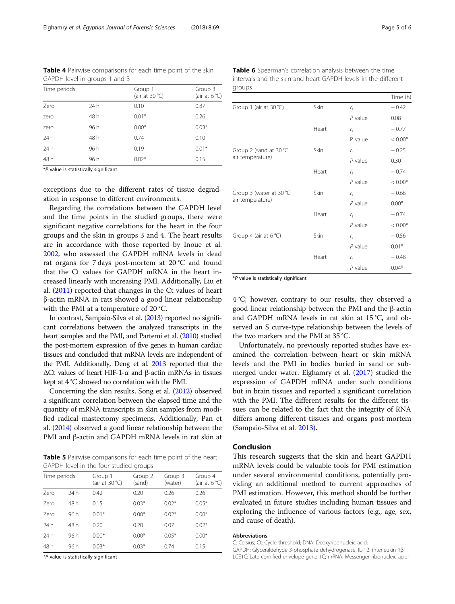<span id="page-4-0"></span>Table 4 Pairwise comparisons for each time point of the skin GAPDH level in groups 1 and 3

| Time periods |      | Group 1<br>(air at $30^{\circ}$ C) | Group 3<br>(air at $6^{\circ}$ C) |  |
|--------------|------|------------------------------------|-----------------------------------|--|
| Zero         | 24h  | 0.10                               | 0.87                              |  |
| zero         | 48 h | $0.01*$                            | 0.26                              |  |
| zero         | 96 h | $0.00*$                            | $0.03*$                           |  |
| 24h          | 48 h | 0.74                               | 0.10                              |  |
| 24h          | 96 h | 0.19                               | $0.01*$                           |  |
| 48 h         | 96 h | $0.02*$                            | 0.15                              |  |

\*P value is statistically significant

exceptions due to the different rates of tissue degradation in response to different environments.

Regarding the correlations between the GAPDH level and the time points in the studied groups, there were significant negative correlations for the heart in the four groups and the skin in groups 3 and 4. The heart results are in accordance with those reported by Inoue et al. [2002](#page-5-0), who assessed the GAPDH mRNA levels in dead rat organs for 7 days post-mortem at 20 °C and found that the Ct values for GAPDH mRNA in the heart increased linearly with increasing PMI. Additionally, Liu et al. [\(2011\)](#page-5-0) reported that changes in the Ct values of heart β-actin mRNA in rats showed a good linear relationship with the PMI at a temperature of 20 °C.

In contrast, Sampaio-Silva et al. [\(2013](#page-5-0)) reported no significant correlations between the analyzed transcripts in the heart samples and the PMI, and Partemi et al. ([2010\)](#page-5-0) studied the post-mortem expression of five genes in human cardiac tissues and concluded that mRNA levels are independent of the PMI. Additionally, Deng et al. [2013](#page-5-0) reported that the ΔCt values of heart HIF-1-α and β-actin mRNAs in tissues kept at 4 °C showed no correlation with the PMI.

Concerning the skin results, Song et al. [\(2012\)](#page-5-0) observed a significant correlation between the elapsed time and the quantity of mRNA transcripts in skin samples from modified radical mastectomy specimens. Additionally, Pan et al. ([2014\)](#page-5-0) observed a good linear relationship between the PMI and β-actin and GAPDH mRNA levels in rat skin at

Table 5 Pairwise comparisons for each time point of the heart GAPDH level in the four studied groups

| Time periods |      | Group 1<br>(air at 30 °C) | Group 2<br>(sand) | Group 3<br>(water) | Group 4<br>(air at $6^{\circ}$ C) |
|--------------|------|---------------------------|-------------------|--------------------|-----------------------------------|
| Zero         | 24 h | 0.42                      | 0.20              | 0.26               | 0.26                              |
| Zero         | 48 h | 0.15                      | $0.03*$           | $0.02*$            | $0.05*$                           |
| Zero         | 96 h | $0.01*$                   | $0.00*$           | $0.02*$            | $0.00*$                           |
| 24h          | 48 h | 0.20                      | 0.20              | 0.07               | $0.02*$                           |
| 24h          | 96 h | $0.00*$                   | $0.00*$           | $0.05*$            | $0.00*$                           |
| 48 h         | 96 h | $0.03*$                   | $0.03*$           | 0.74               | 0.15                              |
|              |      |                           |                   |                    |                                   |

\*P value is statistically significant

|                                  |             |             | Time (h)  |
|----------------------------------|-------------|-------------|-----------|
| Group 1 (air at $30^{\circ}$ C)  | Skin        | $r_{\rm s}$ | $-0.42$   |
|                                  |             | $P$ value   | 0.08      |
|                                  | Heart       | $r_{\rm s}$ | $-0.77$   |
|                                  |             | P value     | $< 0.00*$ |
| Group 2 (sand at $30^{\circ}$ C  | <b>Skin</b> | $r_{\rm s}$ | $-0.25$   |
| air temperature)                 |             | $P$ value   | 0.30      |
|                                  | Heart       | $r_{\rm s}$ | $-0.74$   |
|                                  |             | $P$ value   | $< 0.00*$ |
| Group 3 (water at $30^{\circ}$ C | Skin        | $r_{\rm s}$ | $-0.66$   |
| air temperature)                 |             | $P$ value   | $0.00*$   |
|                                  | Heart       | $r_{\rm s}$ | $-0.74$   |
|                                  |             | $P$ value   | $< 0.00*$ |
| Group 4 (air at $6^{\circ}$ C)   | Skin        | $r_{\rm s}$ | $-0.56$   |
|                                  |             | $P$ value   | $0.01*$   |
|                                  | Heart       | $r_{\rm s}$ | $-0.48$   |

Table 6 Spearman's correlation analysis between the time intervals and the skin and heart GAPDH levels in the different groups

\*P value is statistically significant

4 °C; however, contrary to our results, they observed a good linear relationship between the PMI and the β-actin and GAPDH mRNA levels in rat skin at 15 °C, and observed an S curve-type relationship between the levels of the two markers and the PMI at 35 °C.

 $P$  value  $0.04*$ 

Unfortunately, no previously reported studies have examined the correlation between heart or skin mRNA levels and the PMI in bodies buried in sand or submerged under water. Elghamry et al. ([2017](#page-5-0)) studied the expression of GAPDH mRNA under such conditions but in brain tissues and reported a significant correlation with the PMI. The different results for the different tissues can be related to the fact that the integrity of RNA differs among different tissues and organs post-mortem (Sampaio-Silva et al. [2013](#page-5-0)).

# Conclusion

This research suggests that the skin and heart GAPDH mRNA levels could be valuable tools for PMI estimation under several environmental conditions, potentially providing an additional method to current approaches of PMI estimation. However, this method should be further evaluated in future studies including human tissues and exploring the influence of various factors (e.g., age, sex, and cause of death).

# Abbreviations

C: Celsius; Ct: Cycle threshold; DNA: Deoxyribonucleic acid; GAPDH: Glyceraldehyde 3-phosphate dehydrogenase; IL-1β: interleukin 1β; LCE1C: Late cornified envelope gene 1C; mRNA: Messenger ribonucleic acid;